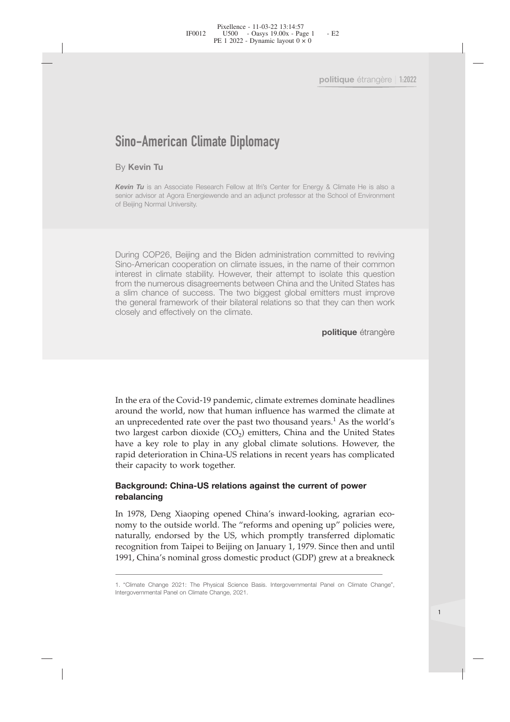politique étrange<br>
Sino-American Climate Diplomacy<br>
By Kevin Tu<br>
Kevin Tu is an Associate Research Fellow at Ifri's Center for Energy & Climate He is als<br>
senior advisor at Agora Energiewende and an adjunct professor at th **Sino-American Climate Diplon<br>By Kevin Tu<br>Kevin Tu is an Associate Research Fellow at If<br>senior advisor at Agora Energiewende and an ad France Changed Changed Changed Prices**<br>**Sino-American Climate Diplomacy**<br>**Kevin Tu** is an Associate Research Fellow at Ifri's Center for Energy & Climate He is also a<br>**Kevin Tu** is an Associate Research Fellow at Ifri's C Sino-American Climate Diplomacy<br>By Kevin Tu<br>Kevin Tu is an Associate Research Fellow at Ifri's Center for Energy & Climate He is also a<br>senior advisor at Agora Energiewende and an adjunct professor at the School of Environ **Sino–American Climate [**<br>By Kevin Tu<br>Kevin Tu is an Associate Research Fe<br>senior advisor at Agora Energiewende a<br>of Beijing Normal University.

**Sino-American Climate Diplomacy**<br> **Ey Kevin Tu** is an Associate Research Fellow at Ifri's Center for Energy & Climate He is also a<br>
senior advisor at Agora Energiewende and an adjunct professor at the School of Environmen **Sino-American Climate Diplomacy**<br>
By Kevin Tu<br>
is an Associate Research Fellow at Ifris Center for Energy & Climate He is also a<br>
senior advisor at Agora Energiewende and an adjunct professor at the School of Environment<br> **isomatry of the Control Control Control Control Control Control Control Control Control Control Control Control Control Control Control Control Control Control Control Control Control Control Control Control Control Contr Ey Kevin Tu**<br> **Kevin Tu** is an Associate Research Fellow at Ifri's Center for Energy & Climate He is also a<br>
senior advisor at Agora Energiewende and an adjunct professor at the School of Environment<br>
of Beijing Normal Un By Kevin Tu<br>
Kevin Tu is an Associate Research Fellow at Ifri's Center for Energy & Climate He is also a<br>
senior advisor at Agora Energiewende and an adjunct professor at the School of Environment<br>
of Beijing Normal Univer **Kevin Tu** is an Associate Research Fellow at Ifri's Center for Energy & Climate He is also a<br>Senior advisor at Agora Energiewende and an adjunct professor at the School of Environment<br>of Beijing Normal University.<br>During **Example 12**<br> **Constant Constant Agora** Energiewende and an adjunct profess of Beijing Normal University.<br>
Compare and an adjunct profess of Beijing Normal University.<br>
Compare Soft Beijing and the Biden administra<br>
Sino-A

**politique** étrangère

from the numerous disagreements between China and the United States has<br>a slim chance of success. The two biggest global emitters must improve<br>closely and effectively on the climate.<br>**politique** étrangère<br>**politique** étran a slim chance of success. The two biggest global emitters must improve<br>the general framework of their bilateral relations so that they can then work<br>closely and effectively on the climate.<br>**politique** étrangère<br>**politique** The general manework of their bilateral relations so that they can then work<br>closely and effectively on the climate.<br>**politique** étrangère<br>**politique** étrangère<br>**politique** étrangère<br>around the world, now that human influe **Solosely** and enectively on the chinate.<br> **politique** étrangère<br> **politique** étrangère<br> **politique** étrangère<br> **politique** étrangère<br> **around** the world, now that human influence has warmed the climate at<br> **an unprecedent** politique étrangère<br>
In the era of the Covid-19 pandemic, climate extremes dominate headlines<br>
around the world, now that human influence has warmed the climate at<br>
an unprecedented rate over the past two thousand years.<sup>1</sup> France of the Covid-19 pandemic, climate extremes dominate headlines<br>around the world, now that human influence has warmed the climate at<br>an unprecedented rate over the past two thousand years.<sup>1</sup> As the world's<br>two larges In the era of the Covid-19 pandemic, clima<br>around the world, now that human influe<br>an unprecedented rate over the past two t<br>two largest carbon dioxide (CO<sub>2</sub>) emitters<br>have a key role to play in any global cl<br>rapid deteri In the era of the Covid-19 pandemic, climate extremes dominate headlines<br>around the world, now that human influence has warmed the climate at<br>an unprecedented rate over the past two thousand years.<sup>1</sup> As the world's<br>two la In the era of the Covid-19 pandemic, climate extremes dominate headlines<br>around the world, now that human influence has warmed the climate at<br>an unprecedented rate over the past two thousand years.<sup>1</sup> As the world's<br>two la around the world, now that human influence has warmed the climate at<br>an unprecedented rate over the past two thousand years.<sup>1</sup> As the world's<br>two largest carbon dioxide (CO<sub>2</sub>) emitters, China and the United States<br>have a an unprecedented rate over the past two thousand years.<sup>1</sup> As the world's<br>two largest carbon dioxide (CO<sub>2</sub>) emitters, China and the United States<br>have a key role to play in any global climate solutions. However, the<br>rapi

## **rebalancing**

two largest carbon dioxide (CO<sub>2</sub>) emitters, China and the United States<br>have a key role to play in any global climate solutions. However, the<br>rapid deterioration in China-US relations in recent years has complicated<br>their have a key role to play in any global climate solutions. However, the rapid deterioration in China-US relations in recent years has complicated their capacity to work together.<br> **Background: China-US relations against the rebalancing**<br>
In 1978, Deng Xiaoping opened China's inward-looking, agrarian eco-<br>
nomy to the outside world. The "reforms and opening up" policies were,<br>
naturally, endorsed by the US, which promptly transferred diplomat In 1978, Deng Xiaoping opened China's inomy to the outside world. The "reforms a<br>naturally, endorsed by the US, which pro<br>recognition from Taipei to Beijing on Januar<br>1991, China's nominal gross domestic prod<br>1. "Climate C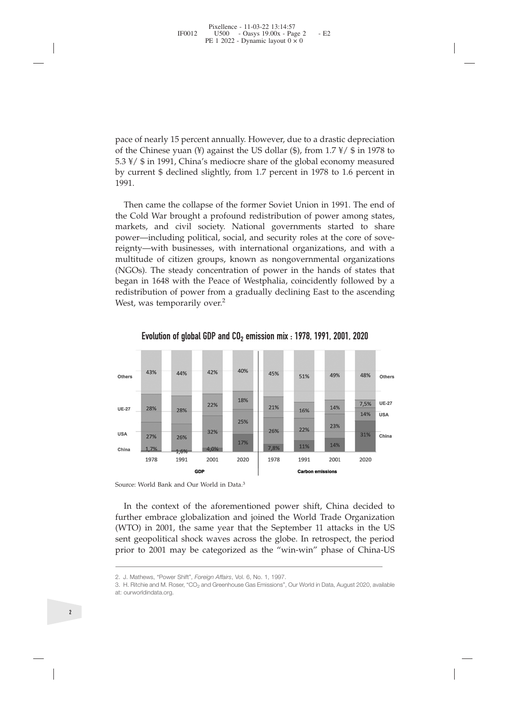pace of nearly 15 percent annually. However, due to a drastic depreciation<br>of the Chinese yuan (¥) against the US dollar (\$), from 1.7 ¥/ \$ in 1978 to<br>5.3 ¥/ \$ in 1991, China's mediocre share of the global economy measured pace of nearly 15 percent annually. However, due to a drastic depreciation<br>of the Chinese yuan (¥) against the US dollar (\$), from 1.7 ¥/ \$ in 1978 to<br>5.3 ¥/ \$ in 1991, China's mediocre share of the global economy measured pace of nearly 15 percent annually. However, due to a drastic depreciation<br>of the Chinese yuan (¥) against the US dollar (\$), from 1.7 ¥/ \$ in 1978 to<br>5.3 ¥/ \$ in 1991, China's mediocre share of the global economy measured pace of nearly 15 percent annually. However, due to a drastic depreciation<br>of the Chinese yuan (¥) against the US dollar (\$), from 1.7  $\frac{1}{2}$  \$ in 1978 to<br>5.3  $\frac{1}{2}$  \$ in 1991, China's mediocre share of the global e 1991.

compared to the collapse of the collapse of the collapse of the collapse of the collapse of the collapse of the soviet  $\frac{3 \times 6}{3 \times 6}$  in 1991, China's mediocre share of the global economy measured current \$ declined sli pace of nearly 15 percent annually. However, due to a drastic depreciation<br>of the Chinese yuan (¥) against the US dollar (\$), from  $1.7 \times 1$  \$ in 1978 to<br>5.3  $\frac{1}{2}$  \$ in 1991, China's mediocre share of the global econo pace of nearly 15 percent annually. However, due to a drastic depreciation<br>of the Chinese yuan (¥) against the US dollar (\$), from 1.7 ¥/ \$ in 1978 to<br>5.3 ¥/ \$ in 1991, China's mediocre share of the global economy measured pace of nearly 15 percent annually. However, due to a drastic depreciation<br>of the Chinese yuan (¥) against the US dollar (\$), from 1.7 ¥/ \$ in 1978 to<br>5.3 ¥/ \$ in 1991, China's mediocre share of the global economy measured pace of nearly 15 percent annually. However, due to a drastic depreciation<br>of the Chinese yuan (¥) against the US dollar (\$), from 1.7 ¥/ \$ in 1978 to<br>5.3 ¥/ \$ in 1991, China's mediocre share of the global economy measured pace or nearly 15 percent annually. However, due to a drastic depreciation<br>of the Chinese yuan (¥) against the US dollar (\$), from 1.7  $\gamma$  (\$) fin 1978 to<br>5.3  $\frac{1}{\gamma}$  (\$ in 1991, China's mediocre share of the global ec or the Chinese yuan ( $\neq$ ) against the US dollar ( $\leq$ ), rfom 1.7  $\neq$ /  $\geq$  in 1976 to 5.3  $\neq$ /  $\oint$  in 1991, China's mediocre share of the global economy measured by current  $\oint$  declined slightly, from 1.7 percen  $5.3 * /$   $\overline{5}$  in 1991, China is mediocre snare of the global economy measured<br>by current \$ declined slightly, from 1.7 percent in 1978 to 1.6 percent in<br>1991.<br>Then came the collapse of the former Soviet Union in 1991. by current 5 decimed signity, from 1.7 percent in 1976 to 1.6 percent in 1991.<br>
Then came the collapse of the former Soviet Union in 1991. The end of<br>
the Cold War brought a profound redistribution of power among states,<br> Then came the collapse of the former So<br>the Cold War brought a profound redistrit<br>markets, and civil society. National go<br>power—including political, social, and sec<br>reignty—with businesses, with internation<br>multitude of c Evolution of global GDP and CO<sub>2</sub> emission mix : 1978, 1991, 2001, 2020<br>
43% and solve and cover all society. National governments started to share —including political, social, and security roles at the core of sove—with



**EXECUTE:**2001 **2003**<br> **EXECUTE:** 2004 **2003**<br> **EXECUTE:** 2004 **2001**<br> **EXECUTE:** 2001 **2001**<br> **EXECUTE:** 2001 **2001**<br> **EXECUTE:** 2001 **2001**<br> **EXECUTE:** 2001 **2001**<br> **EXECUTE:** 2001 **2001**<br> **EXECUTE:** 2001 **2001**<br> **EXEC** Source: world bank and Our world in Data.<sup>2</sup><br>
In the context of the aforementioned power shift<br>
further embrace globalization and joined the World<br>
(WTO) in 2001, the same year that the September 1<br>
sent geopolitical shock In the context of the aforementioned power shift, China decided to further embrace globalization and joined the World Trade Organization (WTO) in 2001, the same year that the September 11 attacks in the US sent geopolitica

at: ourworldindata.org.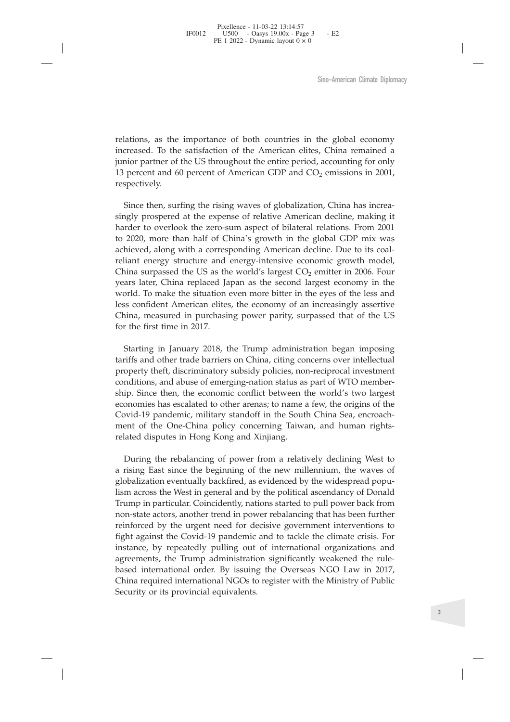Sino-American Climate Diplomacy<br>relations, as the importance of both countries in the global economy<br>increased. To the satisfaction of the American elites, China remained a<br>junior partner of the US throughout the entire pe Sino-American Climate Diplomacy<br>relations, as the importance of both countries in the global economy<br>increased. To the satisfaction of the American elites, China remained a<br>junior partner of the US throughout the entire p Sino-American Climate Diplomacy<br>
relations, as the importance of both countries in the global economy<br>
increased. To the satisfaction of the American elites, China remained a<br>
junior partner of the US throughout the entir 5ino-American Climate Diplomacy<br>
13 percent and 60 percent and 60 percent of the American elites, China remained a<br>
13 percent and 60 percent of American GDP and  $CO_2$  emissions in 2001,<br>
13 percent and 60 percent of Amer respectively.

lations, as the importance of both countries in the global economy<br>creased. To the satisfaction of the American elites, China remained a<br>nior partner of the US throughout the entire period, accounting for only<br>percent and relations, as the importance of both countries in the global economy<br>increased. To the satisfaction of the American elites, China remained a<br>junior partner of the US throughout the entire period, accounting for only<br>13 per relations, as the importance of both countries in the global economy<br>increased. To the satisfaction of the American elites, China remained a<br>junior partner of the US throughout the entire period, accounting for only<br>13 per relations, as the importance of both countries in the global economy<br>increased. To the satisfaction of the American elites, China remained a<br>junior partner of the US throughout the entire period, accounting for only<br>13 per relations, as the importance of both countries in the global economy<br>increased. To the satisfaction of the American elites, China remained a<br>junior partner of the US throughout the entire period, accounting for only<br>13 pe relations, as the imporance of bout counties in the global economic present. To the statisaction of the American elites, China remained a junior partner of the US throughout the entire period, accounting for only 13 percen metreased. To the statistictor of the Enfertain enters, China tentative injurior partner of the US throughout the entire period, accounting for only 13 percent and 60 percent of American GDP and CO<sub>2</sub> emissions in 2001, r planting parties of the C5 unoughout the entire period, accounting for only approach particle of American GDP and CO<sub>2</sub> emissions in 2001, have spectively.<br>Since then, surfing the rising waves of globalization, China has i Evaluated Manusculing the rising waves of globalization, China has increasingly prospered at the expense of relative American decline, making it harder to overlook the zero-sum aspect of bilateral relations. From 2001 to In the precively.<br>
Since then, surfing the rising waves of globalization, China has increa-<br>
singly prospered at the expense of relative American decline, making it<br>
harder to overlook the zero-sum aspect of bilateral rela Since then, surfing the rising waves of globalization, China has increasingly prospered at the expense of relative American decline, making it harder to overlook the zero-sum aspect of bilateral relations. From 2001 to 202 Since the first, suring the Fising was<br>singly prospered at the expense of<br>harder to overlook the zero-sum as<br>to 2020, more than half of China's<br>achieved, along with a correspondi<br>reliant energy structure and energ<br>China su The converok the zero-sam appect of butalicar incrudion. Front 2001<br>2020, more than half of China's growth in the global GDP mix was<br>hieved, along with a corresponding American decline. Due to its coal-<br>liant energy struct the exact, more utan in or China s givow in the global GD1 mix was<br>reliated barriers energy structure and energy-intensive economic growth model,<br>China surpassed the US as the world's largest  $CO_2$  emitter in 2006. Four<br>y ence was more was corresponding internation ecclinic. Due to as con-<br>reliant energy structure and energy-intensive economic growth model,<br>China surpassed the US as the world's largest CO<sub>2</sub> emitter in 2006. Four<br>years late

Frainar energy structure and energy-mensive economic grown moder, China surpassed the US as the world's largest  $CO_2$  emiter in 2006. Four years later, China replaced Japan as the secord largest economy in the world. To m China surpassed in e O as the world's angest Cope uniter in 2000. Four<br>wears later, China replaced Japan as the second largest economy in the<br>world. To make the situation even more bitter in the eyes of the less and<br>less c years and, Cmina Tepatect japhar as at execont anges teconomy in the system world. To make the situation even more bitter in the eyes of the less and less confident American elites, the economy of an increasingly assertive wond. To make the situation event intite briter in the eyes of the less and<br>elses confident American elites, the economy of an increasingly assertive<br>China, measured in purchasing power parity, surpassed that of the US<br>for East connuent American emes, the economy of an increasingly assertive<br>China, measured in purchasing power parity, surpassed that of the US<br>for the first time in 2017.<br>Starting in January 2018, the Trump administration bega Ernia, measured in purchasing power party, surpasses for the first time in 2017.<br>
Starting in January 2018, the Trump administration tariffs and other trade barriers on China, citing concerns property theft, discriminatory Starting in January 2018, the Trump administration began imposing<br>eiffs and other trade barriers on China, citing concerns over intellectual<br>operty theft, discriminatory subsidy policies, non-reciprocal investment<br>nditions battary and any zono, the rinny attinuisation to egain imposing<br>tariffs and other trade barriers on China, citing concerns over intellectual<br>property theft, discriminatory subsidy policies, non-reciprocal investment<br>condit annis and other trade barriers on China, ching concerns over intenectual<br>property theft, discriminatory subsidy policies, non-reciprocal investment<br>conditions, and abuse of emerging-nation status as part of WTO member-<br>shi

proprime conditions, and abuse of energing-nation status as part of WTO member-<br>ship. Since then, the economic conflict between the world's two largest<br>economies has escalated to other arenas; to name a few, the origins of conduous, and ables of entergy adduct status as part of who lember-<br>ship. Since then, the economic conflict between the world's two largest<br>economies has escalated to other arenas; to name a few, the origins of the<br>Covid-1 non-state actor, and cuctomic contact cuctomic actor at words are economies has escalated to other arenas; to name a few, the origins of the Covid-19 pandemic, military standoff in the South China Sea, encroachment of the Express areas exerated of outer areas, to name a rew, we origins or the UC covid-19 pandemic, military standoff in the South China Sea, encroachment of the One-China policy concerning Taiwan, and human rights-<br>related disp Four-19 pantientin, miling standom in the Sount Clinia Sea, encloached ment of the One-China policy concerning Taiwan, and human rights-<br>related disputes in Hong Kong and Xinjiang.<br>During the rebalancing of power from a re inent of the One-China policy concerning raiwar, and induitant rights-<br>related disputes in Hong Kong and Xinjiang.<br>During the rebalancing of power from a relatively declining West to<br>a rising East since the beginning of th Franced unsplaces in 1 rlong Kong and Xinjiang.<br>
During the rebalancing of power from a relatively declining West to<br>
a rising East since the beginning of the new millennium, the waves of<br>
globalization eventually backfire During the rebalancing of power from a relatively declining West to<br>a rising East since the beginning of the new millennium, the waves of<br>globalization eventually backfired, as evidenced by the widespread popu-<br>lism across Examing the rotomating of power from a retainedy decay at engage as ising East since the beginning of the new millennium, the waves of globalization eventually backfired, as evidenced by the widespread populism across the a rising Last since the beginning of the new in<br>globalization eventually backfired, as evidenced<br>lism across the West in general and by the politic<br>Trump in particular. Coincidently, nations started<br>non-state actors, anoth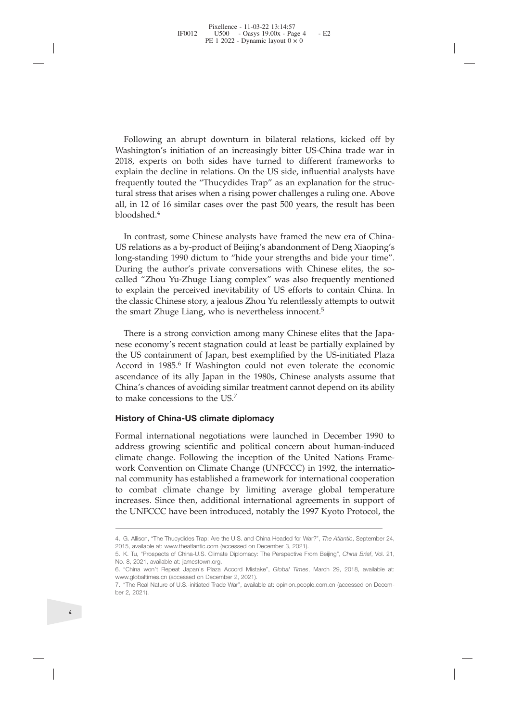Following an abrupt downturn in bilateral relations, kicked off by<br>ashington's initiation of an increasingly bitter US-China trade war in<br>18, experts on both sides have turned to different frameworks to<br>plain the decline i Following an abrupt downturn in bilateral relations, kicked off by<br>Washington's initiation of an increasingly bitter US-China trade war in<br>2018, experts on both sides have turned to different frameworks to<br>explain the decl Following an abrupt downturn in bilateral relations, kicked off by<br>Washington's initiation of an increasingly bitter US-China trade war in<br>2018, experts on both sides have turned to different frameworks to<br>explain the decl Following an abrupt downturn in bilateral relations, kicked off by Washington's initiation of an increasingly bitter US-China trade war in 2018, experts on both sides have turned to different frameworks to explain the decl Following an abrupt downturn in bilateral relations, kicked off by<br>Washington's initiation of an increasingly bitter US-China trade war in<br>2018, experts on both sides have turned to different frameworks to<br>explain the decl Following an abrupt downturn in bilateral relations, kicked off by<br>Washington's initiation of an increasingly bitter US-China trade war in<br>2018, experts on both sides have turned to different frameworks to<br>explain the decl Following an abrupt downturn in bilateral relations, kicked off by<br>Washington's initiation of an increasingly bitter US-China trade war in<br>2018, experts on both sides have turned to different frameworks to<br>explain the decl bloodshed<sup>4</sup> Following an abrupt downturn in bilateral relations, kicked off by ashington's initiation of an increasingly bitter US-China trade war in 18, experts on both sides have turned to different frameworks to plain the decline i Following an abrupt downturn in bilateral relations, kicked off by<br>Washington's initiation of an increasingly bitter US-China trade war in<br>2018, experts on both sides have turned to different frameworks to<br>explain the decl Following an abrupt downturn in bilateral relations, kicked oft by<br>Washington's initiation of an increasingly bitter US-China trade war in<br>2018, experts on both sides have turned to different frameworks to<br>explain the decl

Washington's initiation of an increasingly bitter US-China trade war in 2018, experts on both sides have turned to different frameworks to explain the decline in relations. On the US side, influential analysts have frequen 2018, experts on both sides have turned to different frameworks to explain the decline in relations. On the US side, influential analysts have frequently touted the "Thucydides Trap" as an explanation for the structural st explain the decline in relations. On the US side, influential analysts have<br>frequently touted the "Thucydides Trap" as an explaintion for the struc-<br>tural stress that arises when a rising power challenges a ruling one. Abo trequently touted the "Thucydides Irap" as an explanation for the structural stress that arises when a rising power challenges a ruling one. Above all, in 12 of 16 similar cases over the past 500 years, the result has been tural stress that arses when a rising power challenges a ruling one. A<br>all, in 12 of 16 similar cases over the past 500 years, the result has<br>bloodshed.<sup>4</sup><br>In contrast, some Chinese analysts have framed the new era of CI<br>U boodshed.<sup>2</sup><br>In contrast, some Chinese analysts have framed the new era of China-<br>Srelations as a by-product of Beijing's abandonment of Deng Xiaoping's<br>uring the author's private conversations with Chinese elites, the so-In contrast, some Chinese analysts have framed the new era of China-US relations as a by-product of Beijing's abandonment of Deng Xiaoping's long-standing 1990 dictum to "hide your strengths and bide your time". During the In contrast, some Chinese analysts have framed the new era of China-US relations as a by-product of Beijing's long-standing 1990 dictum to "hide your strengths and bide your time". During the author's private conversations

US relations as a by-product of Beijing's abandonment of Deng Xiaoping's<br>long-standing 1990 dictum to "hide your strengths and bide your time".<br>During the author's private conversations with Chinese elites, the so-<br>called long-standing 1990 dictum to "hide your strengths and bide your time".<br>During the author's private conversations with Chinese elites, the so-<br>called "Zhou Yu-Zhuge Liang complex" was also frequently mentioned<br>to explain th During the author's private conversations with Chinese elites, the so-<br>called "Zhou Yu-Zhuge Liang complex" was also frequently mentioned<br>to explain the perceived inevitability of US efforts to contain China. In<br>the classi called "Zhou Yu-Zhuge Liang complex" was<br>to explain the perceived inevitability of US  $\epsilon$ <br>the classic Chinese story, a jealous Zhou Yu rel<br>the smart Zhuge Liang, who is nevertheless is<br>There is a strong conviction among m to explain the perceived inevitability of US efforts to contain<br>the classic Chinese story, a jealous Zhou Yu relentlessly attempts<br>the smart Zhuge Liang, who is nevertheless innocent.<sup>5</sup><br>There is a strong conviction among There is a strong conviction among many Chinese elites that the Japanese economy's recent stagnation could at least be partially explained by the US containment of Japan, best exemplified by the US-initiated Plaza Accord i There is a strong conviction among many Chinese elites that the Japanese economy's recent stagnation could at least be partially explained by the US containment of Japan, best exemplified by the US-initiated Plaza Accord i

mese economy's recent stagnation could at least be partially explained by<br>the US containment of Japan, best exemplified by the US-initiated Plaza<br>Accord in 1985.<sup>6</sup> If Washington could not even tolerate the economic<br>ascend the US containment of Japan, best exemplified by the US-initiated Plaza<br>Accord in 1985.<sup>6</sup> If Washington could not even tolerate the economic<br>ascendance of its ally Japan in the 1980s, Chinese analysts assume that<br>China's Accord in 1985.<sup>6</sup> If Washington could not even tolerate the economic ascendance of its ally Japan in the 1980s, Chinese analysts assume that China's chances of avoiding similar treatment cannot depend on its ability to ma ascendance of its ally Japan in the 1980s, Chinese analysts assume that<br>China's chances of avoiding similar treatment cannot depend on its ability<br>to make concessions to the US.<sup>7</sup><br>**History of China-US climate diplomacy**<br>F China'schances of avoiding similar treatment cannot depend on its ability<br>to make concessions to the US.<sup>7</sup><br>**History of China-US climate diplomacy**<br>Formal international negotiations were launched in December 1990 to<br>addre to make concessions to the US.<sup>7</sup><br> **History of China-US climate diplomacy**<br>
Formal international negotiations were launched in December 1990 to<br>
address growing scientific and political concern about human-induced<br>
climat actions growing scientific and pointical concern about numan-induced<br>climate change. Following the inception of the United Nations Frame-<br>work Convention on Climate Change (UNFCCC) in 1992, the internatio-<br>nal community ha climatechange. Following the inception of the United N<br>work Convention on Climate Change (UNFCCC) in 1992,<br>nal community has established a framework for internation<br>to combat climate change by limiting average global<br>incr Work Convention on Climate Change (UNFCCC) in 1992, the international<br>community has established a framework for international cooperation<br>to combat climate change by limiting average global temperature<br>increases. Since the WorkConvention on Cimiate Chang<br>
mal community has established a fran<br>
to combat climate change by lin<br>
increases. Since then, additional int<br>
the UNFCCC have been introduced,<br>
4. G. Allison, "The Thucydides Trap: Are the mal community has established a framework for international cooperation<br>to combat climate change by limiting average global temperature<br>increases. Since then, additional international agreements in support of<br>the UNFCCC ha to combat climate change by limiting averticancy increases. Since then, additional internationa<br>the UNFCCC have been introduced, notably to<br>2015, available at: www.theatlantic.com (accessed on December 3<br>5. K. Tu, "Prospec The Real Nature of U.S.-initiated Trade War", available at: [opinion.people.com.cn](http://opinion.people.com.cn/n1/2018/0810/c1003-30220231.html) (accessed on Decem-<br>1. G. Allison, "The Thucydides Trap: Are the U.S. and China Headed for War?", The Atlantic, September 24,<br>2015, availabl The UNFCCC have<br>the UNFCCC have<br>4. G. Allison, "The Thucy<br>2015, available at: www.t<br>5. K. Tu, "Prospects of C<br>6. "China won't Repeat<br>6. "China won't Repeat<br>7. "The Real Nature of U<br>Der 2, 2021).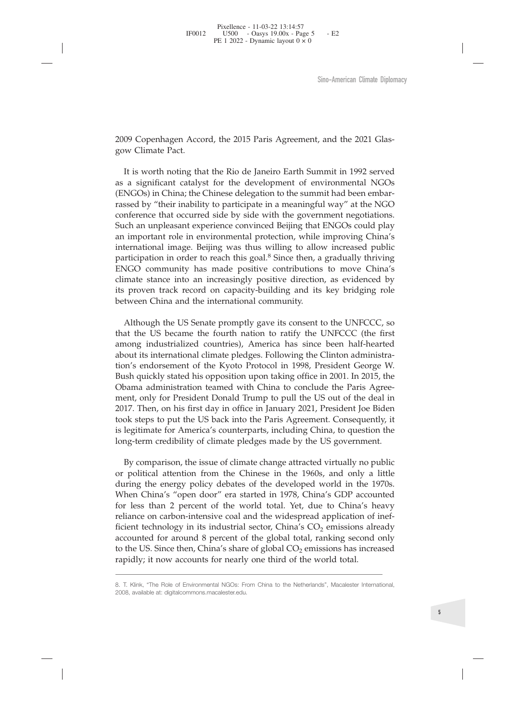Sino-American Climate Diplot<br>2009 Copenhagen Accord, the 2015 Paris Agreement, and the 2021 Glas-<br>2009 Climate Pact.<br>It is worth noting that the Rio de Janeiro Earth Summit in 1992 served<br>2008 as a significant catalyst for 2009 Copenhagen Accord, th<br>gow Climate Pact.<br>It is worth noting that the<br>as a significant catalyst for<br>(ENGOs) in China; the Chine Sino-American Climate Diplomacy<br>
199 Copenhagen Accord, the 2015 Paris Agreement, and the 2021 Glas-<br>
11 is worth noting that the Rio de Janeiro Earth Summit in 1992 served<br>
11 is worth noting that the Rio de Janeiro Earth Sino-American Climate Diplomacy<br>
2009 Copenhagen Accord, the 2015 Paris Agreement, and the 2021 Glas-<br>
gow Climate Pact.<br>
It is worth noting that the Rio de Janeiro Earth Summit in 1992 served<br>
as a significant catalyst fo Sino-American Climate Diplot<br>2009 Copenhagen Accord, the 2015 Paris Agreement, and the 2021 Glas-<br>gow Climate Pact.<br>It is worth noting that the Rio de Janeiro Earth Summit in 1992 served<br>as a significant catalyst for the d 2009 Copenhagen Accord, the 2015 Paris Agreement, and the 2021 Glasgow Climate Pact.<br>It is worth noting that the Rio de Janeiro Earth Summit in 1992 served<br>as a significant catalyst for the development of environmental NGO 2009 Copenhagen Accord, the 2015 Paris Agreement, and the 2021 Glasgow Climate Pact.<br>It is worth noting that the Rio de Janeiro Earth Summit in 1992 served<br>as a significant catalyst for the development of environmental NGO 2009 Copenhagen Accord, the 2015 Paris Agreement, and the 2021 Glasgow Climate Pact.<br>
It is worth noting that the Rio de Janeiro Earth Summit in 1992 served<br>
as a significant catalyst for the development of environmental N 2009 Copenhagen Accord, the 2015 Paris Agreement, and the 2021 Glasgow Climate Pact.<br>
It is worth noting that the Rio de Janeiro Earth Summit in 1992 served<br>
as a significant catalyst for the development of environmental N 2009 Copenhagen Accord, the 2015 Paris Agreement, and the 2021 Glasgow Climate Pact.<br>
It is worth noting that the Rio de Janeiro Earth Summit in 1992 served<br>
as a significant catalyst for the development of environmental N 2009 Copenhagen Accord, the 2015 Paris Agreement, and the 2021 Glassgow Climate Pact.<br>
It is worth noting that the Rio de Janeiro Earth Summit in 1992 served<br>
as a significant catalyst for the development of environmental gow Climate Pact.<br>
It is worth noting that the Rio de Janeiro Earth Summit in 1992 served<br>
as a significant catalyst for the development of environmental NGOs<br>
(ENGOs) in China; the Chinese delegation to the summit had bee It is worth noting that the Rio de Janeiro Earth Summit in 1992 served<br>as a significant catalyst for the development of environmental NGOs<br>(ENGOs) in China; the Chinese delegation to the summit had been embar-<br>rassed by "t It is worth noting that the Kio de Janeiro Earth Summit in 1992 served<br>as a significiant catalyst for the development of environmental NGOs<br>(ENGOs) in China; the Chinese delegation to the summit had been embar-<br>rassed by " as a significant catalyst for the development of environm<br>(ENGOs) in China; the Chinese delegation to the summit had<br>rassed by "their inability to participate in a meaningful way<br>conference that occurred side by side with seed by "their mability to participate in a meaningtul way" at the NGO<br>inference that occurred side by side with the government negotiations.<br>coh an unpleasant experience convinced Beijing that ENGOs could play<br>important r conference that occurred side by side with the government negotiations.<br>Such an unpleasant experience convinced Beijing that ENGOs could play<br>an imporant role in environmental protection, while improving China's<br>internatio Such an unpleasant experience convinced Beijing that ENGOs could play<br>an important role in environmental protection, while improving China's<br>international image. Beijing was thus willing to allow increased public<br>participa

an important role in environmental protection, while improving China's<br>international image. Beijing was thus willing to allow increased public<br>participation in order to reach this goal.<sup>8</sup> Since then, a gradually thriving<br> International image. Beijing was thus willing to allow increased public<br>
participation in order to reach this goal.<sup>8</sup> Since then, a gradually thriving<br>
ENGO community has made positive contributions to move China's<br>
clima participation in order to reach this goal.<sup>9</sup> Since then, a gradually thriving ENGO community has made positive contributions to move China's elimate stance into an increasingly positive direction, as evidenced by its prov ENGO community has made positive contributions to move China's<br>climate stance into an increasingly positive direction, as evidenced by<br>its proven track record on capacity-building and its key bridging role<br>between China an climate stance into an increasingly positive direction, as evidenced by<br>its proven track record on capacity-building and its key bridging role<br>between China and the international community.<br>Although the US Senate promptly Its proven track record on capacity-building and its key bridging role<br>between China and the international community.<br>Although the US Senate promptly gave its consent to the UNFCCC, so<br>that the US became the fourth nation between China and the international community.<br>
Although the US Senate promptly gave its consent to the UNFCCC, so<br>
that the US became the fourth nation to ratify the UNFCCC (the first<br>
among industrialized countries), Ame Although the US Senate promptly gave its consent to the UNFCCC, so<br>that the US became the fourth nation to ratify the UNFCCC (the first<br>among industrialized countries), America has since been half-hearted<br>about its interna Although the US Senate promptly gave its consent to the UNFCCC, so<br>that the US became the fourth nation to ratify the UNFCCC (the first<br>among industrialized countries), America has since been half-hearted<br>about its interna oong industrialized countries), America has since been half-hearted out its international climate pledges. Following the Clinton administration's endorsement of the Kyoto Protocol in 1998, President George W. sh quickly st about its international climate pledges. Following the Clinton administra-<br>tion's endorsement of the Kyoto Protocol in 1998, President George W.<br>Bush quickly stated his opposition upon taking office in 2001. In 2015, the<br>O tion's endorsement of the Kyoto Protocol in 1998, President George W.<br>Bush quickly stated his opposition upon taking office in 2001. In 2015, the Obama administration teamed with China to conclude the Paris Agree-<br>ment, on

Bush quickly stated his opposition upon taking office in 2001. In 2015, the Obama administration teamed with China to conclude the Paris Agreement, only for President Donald Trump to pull the US out of the deal in 2017. Th Obama administration teamed with China to conclude the Paris Agree-<br>ment, only for President Donald Trump to pull the US out of the deal in<br>2017. Then, on his first day in office in January 2021, President Joe Biden<br>took ment, only for President Donald Trump to pull the US out of the deal in 2017. Then, on his first day in office in January 2021, President Joe Biden took steps to put the US back into the Paris Agreement. Consequently, it i 2017. Then, on his first day in office in January 2021, President Joe Biden<br>took steps to put the US back into the Paris Agreement. Consequently, it<br>is legitimate for America's counterparts, including China, to question th took steps to put the US back into the Paris Agreement. Consequently, it<br>is legitimate for America's counterparts, including China, to question the<br>long-term credibility of climate pledges made by the US government.<br>By com islegitimate for America's counterparts, including China, to question the long-term credibility of climate pledges made by the US government.<br>By comparison, the issue of climate change attracted virtually no public or pol Iong-term credibility of climate pledges made by the US government.<br>
By comparison, the issue of climate change attracted virtually no public<br>
or political attention from the Chinese in the 1960s, and only a little<br>
during When China's "open door" era started in 1978, China's GDP accounted<br>for less than 2 percent of the world total. Yet, due to China's heavy<br>reliance on carbon-intensive coal and the widespread application of inef-<br>ficient te for less than 2 percent of the world tota<br>
reliance on carbon-intensive coal and the v<br>
ficient technology in its industrial sector, C<br>
accounted for around 8 percent of the glo<br>
to the US. Since then, China's share of glo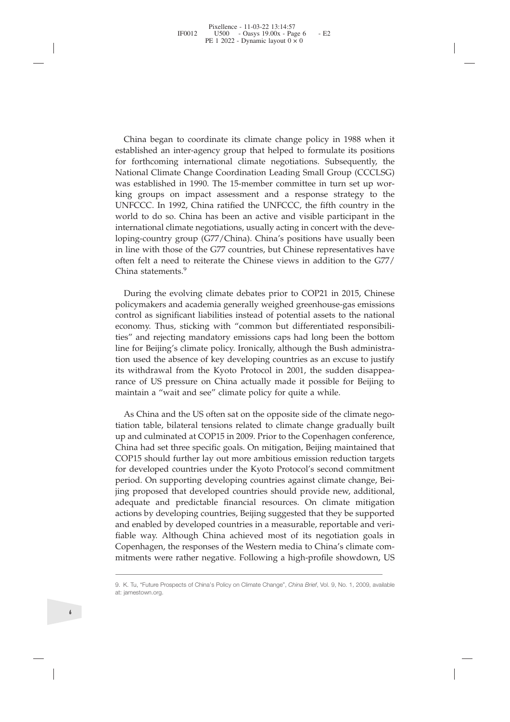China began to coordinate its climate change policy in 1988 when it<br>tablished an inter-agency group that helped to formulate its positions<br>r forthcoming international climate negotiations. Subsequently, the<br>ational Climate China began to coordinate its climate change policy in 1988 when it<br>established an inter-agency group that helped to formulate its positions<br>for forthcoming international climate negotiations. Subsequently, the<br>National Cl China began to coordinate its climate change policy in 1988 when it<br>established an inter-agency group that helped to formulate its positions<br>for forthcoming international climate negotiations. Subsequently, the<br>National Cl China began to coordinate its climate change policy in 1988 when it<br>established an inter-agency group that helped to formulate its positions<br>for forthcoming international climate negotiations. Subsequently, the<br>National Cl China began to coordinate its climate change policy in 1988 when it<br>established an inter-agency group that helped to formulate its positions<br>for forthcoming international climate negotiations. Subsequently, the<br>National Cl China began to coordinate its climate change policy in 1988 when it<br>established an inter-agency group that helped to formulate its positions<br>for forthcoming international climate negotiations. Subsequently, the<br>National Cl China began to coordinate its climate change policy in 1988 when it established an inter-agency group that helped to formulate its positions for forthcoming international climate negotiations. Subsequently, the National Cl China began to coordinate its climate change policy in 1988 when it<br>established an inter-agency group that helped to formulate its positions<br>for forthcoming international climate negotiations. Subsequently, the<br>National Cl China began to coordinate its climate change policy in 1988 when it established an inter-agency group that helped to formulate its positions for forthcoming international climate negotiations. Subsequently, the National Cl China began to coordinate its climate change policy in 1988 when it established an inter-agency group that helped to formulate its positions for forthcoming international climate negotiations. Subsequently, the National Cl China began to coordinate its climate change policy in 1988 when it<br>established an inter-agency group that helped to formulate its positions<br>for forthcoming international climate negotiations. Subsequently, the<br>National Cl China vegant woonunate is uninate unapper policy in 1000 witch the change constablished an inter-agency group that helped to formulate its positions for forthcoming international climate negotiations. Subsequently, the Nat Examished an Inter-agency grot<br>for forthcoming international c<br>National Climate Change Coord<br>was established in 1990. The 15-<br>king groups on impact assess<br>UNFCCC. In 1992, China ratifie<br>world to do so. China has been<br>inter about Chine Clainge Coloulation Leading binari Gloup (CCCLSO)<br>as established in 1990. The 15-member committee in turn set up wor-<br>ng groups on impact assessment and a response strategy to the<br>NFCCC. In 1992, China ratified was established in 1990. The 15-infinition continue in turn set up working groups on impact assessment and a response strategy to the UNFCCC. In 1992, China ratified the UNFCCC, the fifth country in the world to do so. Chi EUNIFCCC. In 1992, China ratified the UNFCCC, the fifth country in the World to do so. China has been an active and visible participant in the international climate negotiations, usually acting in concert with the developi

economy. Thus, sticking with "common but differentiation used the absence of the sinternational climate negotiations, usually acting in concret with the developing-country group (G77/China). China's positions have usually where the solutional climate section and visible paraliepart in the developing-country group (G77/China). China's positions have usually been in line with those of the G77 countries, but Chinese representatives have often International chinate negotiations, ustany acting in concert with the deve-<br>loping-country group (G77/China). China's positions have usually been<br>in line with those of the G77 countries, but Chinese representatives have<br>of folyncycumity group<br>in line with those of the G77 countries, but Chinese representatives have<br>often felt a need to reiterate the Chinese views in addition to the G77/<br>China statements.<sup>9</sup><br>During the evolving climate debate In the with those of the G77 collinies, but Chinese representatives have<br>often felt a need to reiterate the Chinese views in addition to the G77/<br>China statements.<sup>9</sup><br>During the evolving climate debates prior to COP21 in 2 The mass of the evolving climate die Chinese views in addition to the G777<br>China statements.<sup>9</sup><br>During the evolving climate debates prior to COP21 in 2015, Chinese<br>policymakers and academia generally weighed greenhouse-gas China statements.<br>
During the evolving climate debates prior to COP21 in 2015, Chir<br>
policymakers and academia generally weighed greenhouse-gas emissi<br>
control as significant liabilities instead of potential assets to the Dunng the evolving chinate debates prior to COT 21 in 2015, Chinese<br>bicymakers and academia generally weighed greenhouse-gas emissions<br>notrol as significant liabilities instead of potential assets to the national<br>nonomy. T poncymasers and academia generaly wegneta geenuouse-gas ennsoloned control as significant liabilities instead of potential assets to the national economy. Thus, sticking with "common but differentiated responsibilities" an China as signing in a mather is bisead of potential assets to the national<br>eteronomy. Thus, sticking with "common but differentiated responsibili-<br>ties" and rejecting mandatory emissions caps had long been the bottom<br>line

Economy. Trius, sucking whit common out uniterated responsions caps and rejecting mandatory emissions caps had long been the bottom line for Beijing's climate policy. Ironically, although the Bush administration used the a the and relecting inatiationy emissions caps in the for Beijing's climate policy. Ironically, although the Bush administration used the absence of key developing countries as an excuse to justify its withdrawal from the Ky me for beging s cunture pointy. Including and the absence of key developing countries as an excuse to justify<br>tis withdrawal from the Kyoto Protocol in 2001, the sudden disappea-<br>rance of US pressure on China actually made fluori used the absente of key developing columnes as an excuse to justify its withdrawal from the Kyoto Protocol in 2001, the sudden disappearance of US pressure on China actually made it possible for Beijing to maintain is wintuawar noint the Kyoto Trotocol in 2001, the statuent usappearance of US pressure on China actually made it possible for Beijing to maintain a "wait and see" climate policy for quite a while.<br>As China and the US ofte rante or OS pressure of China actuany made it possible for beijing to maintain a "wait and see" climate policy for quite a while.<br>As China and the US often sat on the opposite side of the climate negotiation table, bilater Inanium a wart and see Cunnate poity for quite a writie.<br>
As China and the US often sat on the opposite side of the climate nego-<br>
tiation table, bilateral tensions related to climate change gradually built<br>
up and culmina As China and the US often sat on the opposite side of the climate negotiation table, bilateral tensions related to climate change gradually built up and culminated at COP15 in 2009. Prior to the Copenhagen conference. Chin Fiable manu the Colleria stolute that the upposed such that the emake region and culminated at COP15 in 2009. Prior to the Copenhagen conference, China had set three specific goals. On mitigation, Beijing maintained that Internal definite and School Communication is charge to chinate change gradually buring hand culminated at COP15 in 2009. Prior to the Copenhagen conference, China had set three specific goals. On mitigation, Beijing manit Chinahad set three specific goals. On mitigation, Beijing maintained that COP15 should further lay out more ambitious emission reduction targets for developed countries under the Kyoto Protocol's second commitment period. plug proposed that developed countries should provide riew, additional,<br>adequate and predictable financial resources. On climate mitigation<br>actions by developing countries, Beijing suggested that they be supported<br>and enab adequate and prediations by developing<br>and enabled by developing<br>fiable way. Althougl<br>Copenhagen, the resp<br>mitments were rathe<br>3. K. Tu, "Future Prospects of<br>at: jamestown.org.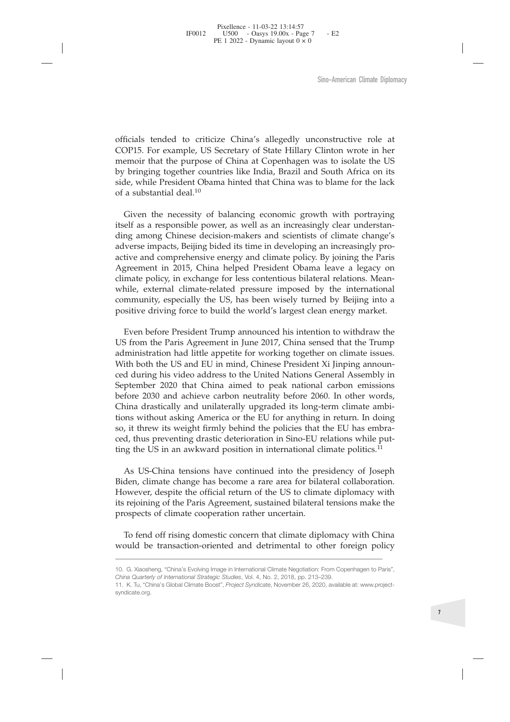Sino-American Climate Diplomacy<br>
officials tended to criticize China's allegedly unconstructive role at<br>
COP15. For example, US Secretary of State Hillary Clinton wrote in her<br>
memoir that the purpose of China at Copenhage Sino-American Climate Diplomacy<br>
officials tended to criticize China's allegedly unconstructive role at<br>
COP15. For example, US Secretary of State Hillary Clinton wrote in her<br>
memoir that the purpose of China at Copenhage Sino-American Climate Diplomacy<br>
officials tended to criticize China's allegedly unconstructive role at<br>
COP15. For example, US Secretary of State Hillary Clinton wrote in her<br>
memoir that the purpose of China at Copenhage Sino-American Climate Diplomacy<br>
officials tended to criticize China's allegedly unconstructive role at<br>
COP15. For example, US Secretary of State Hillary Clinton wrote in her<br>
memori that the purpose of China at Copenhage Sino-American Climate Diplomacy<br>
Sino-American Climate Diplomacy<br>
COP15. For example, US Secretary of State Hillary Clinton wrote in her<br>
memoir that the purpose of China at Copenhagen was to isolate the US<br>
by bringing to officials tended to criticize China<br>COP15. For example, US Secretary of<br>memoir that the purpose of China a<br>by bringing together countries like<br>side, while President Obama hinted<br>of a substantial deal.<sup>10</sup><br>Given the necessi ficials tended to criticize China's allegedly unconstructive role at OP15. For example, US Secretary of State Hillary Clinton wrote in her morior that the purpose of China at Copenhagen was to isolate the US bringing toget

officials tended to criticize China's allegedly unconstructive role at COP15. For example, US Secretary of State Hillary Clinton wrote in her memoir that the purpose of China at Copenhagen was to isolate the US by bringing officials tended to criticize China's allegedly unconstructive role at COP15. For example, US Secretary of State Hillary Clinton wrote in her memoir that the purpose of China at Copenhagen was to isolate the US by bringing officials tended to criticize China's allegedly unconstructive role at COP15. For example, US Secretary of State Hillary Clinton wrote in her memoir that the purpose of China at Copenhagen was to isolate the US by bringing officials tended to criticize China's allegedly unconstructive role at COP15. For example, US Secretary of State Hillary Clinton wrote in her memoir that the purpose of China at Copenhagen was to isolate the US by bringing COP15. For example, US Secretary of State Hillary Clinton wrote in her memori that the purpose of China at Copenhagen was to isolate the US by bringing together countries like India, Brazil and South Africa on its side, wh memoir that the purpose of China at Copenhagen was to isolate the US<br>by bringing together countries like India, Brazil and South Africa on its<br>side, while President Obama hinted that China was to blame for the lack<br>of a su by bringing together countries like India, Brazil and South Africa on its side, while President Obama hinted that China was to blame for the lack of a substantial deal.<sup>10</sup><br>
Given the necessity of balancing economic growth side, while President Obama hinted that China was to blame for the lack<br>of a substantial deal.<sup>10</sup><br>Given the necessity of balancing economic growth with portraying<br>itself as a responsible power, as well as an increasingly of a substantial deal.<sup>10</sup><br>Given the necessity of balancing economic growth with portraying<br>itself as a responsible power, as well as an increasingly clear understan-<br>ding among Chinese decision-makers and scientists of cl Given the necessity of balancing economic growth with portraying elf as a responsible power, as well as an icrceasingly clear understandange's overse impacts, Beijing bided its time in developing an increasingly protive an itself as a responsible power, as well as an increasingly clear understanding among Chinese decision-makers and scientists of climate change's adverse impacts, Beijing bided its time in developing an increasingly proactive ding among Chinese decision-makers and scientists of climate change's adverse impacts, Beijing bided its time in developing an increasingly pro-<br>active and comprehensive energy and climate policy. By joining the Paris<br>Agre

adverse impacts, Beijing bided its time in developing an increasingly pro-<br>active and comprehensive energy and climate policy. By joining the Paris<br>Agreement in 2015, China helped President Obama leave a legacy on<br>climate active and comprehensive energy and climate policy. By joining the Paris Agreement in 2015, China helped President Obama leave a legacy on while, external climate-related presscure imposed by the international community, e Agreement in 2015, China helped President Obama leave a legacy on climate policy, in exchange for less contentious bilateral relations. Mean-<br>while, external climate-related pressure imposed by the international<br>community, climate policy, in exchange for less contentious bilateral relations. Mean-<br>while, external climate-related pressure imposed by the international<br>community, especially the US, has been wisely turned by Beijing into a<br>posit while, external climate-related pressure imposed by the international<br>community, especially the US, has been wisely turned by Beijing into a<br>positive driving force to build the world's largest clean energy market.<br>Even bef community, especially the US, has been wisely turned by Beijing into a<br>positive driving force to build the world's largest clean energy market.<br>Even before President Trump announced his intention to withdraw the<br>US from th positive driving force to build the world's largest clean energy market.<br>
Even before President Trump announced his intention to withdraw the<br>
US from the Paris Agreement in June 2017, China sensed that the Trump<br>
administ Even before President Trump announced his intention to withdraw the US from the Paris Agreement in June 2017, China sensed that the Trump administration had little appetite for working together on climate issues. With both Even before President Trump announced his intention to withdraw the US from the Paris Agreement in June 2017, China sensed that the Trump to summer With both the US and EU in mind, Chinese President Xi Jinping amounced dur ministration had little appetite for working together on climate issues.<br>
ith both the US and EU in mind, Chinese President Xi Jinping announ-<br>
d during his video address to the United Nations General Assembly in<br>
ptember With both the US and EU in mind, Chinese President Xi Jinping announced during his video address to the United Nations General Assembly in September 2020 that China aimed to peak national carbon emissions before 2030 and a ced during his video address to the United Nations General Assembly in September 2020 that China aimed to peak national carbon emissions before 2030 and achieve carbon neutrality before 2060. In other words, China drastica September 2020 that China aimed to peak national carbon emissions<br>before 2030 and achieve carbon neutrality before 2060. In other words,<br>China drastically and unilaterally upgraded its long-term climate ambi-<br>tions without before 2030 and achieve carbon neutrality before 2060. In China drastically and unilaterally upgraded its long-term c<br>tions without asking America or the EU for anything in rett<br>so, it threw its weight firmly behind the po

To fend off rising domestic concern that climate Negotiation: From Copenhagen to Paris", which is very that a sember of the EU has embradd, thus preventing drastic deterioration in Sino-EU relations while put-<br>and the US so,it threw its weight firmly behind the policies that the EU has embraced, thus preventing drastic deterioration in Sino-EU relations while putting the US in an awkward position in international climate politics.<sup>11</sup><br>As Biden, climate change has become a rare area for bilateral collaboration.<br>
However, despite the official return of the US to climate diplomacy with<br>
its rejoining of the Paris Agreement, sustained bilateral tensions make t *China**China*<sup>*China*</sup> *China*<sup>*z*</sup> *Chinate diplomatis* rejoining of the Paris Agreement, sustained bilateral tensions nerospects of climate cooperation rather uncertain.<br>To fend off rising domestic concern that climate 11. K. Tu, "China's Global Climate Boost", *Project Syndicate*, November 26, 2020, available at: www.project-syndicate.org.

syndicate.org.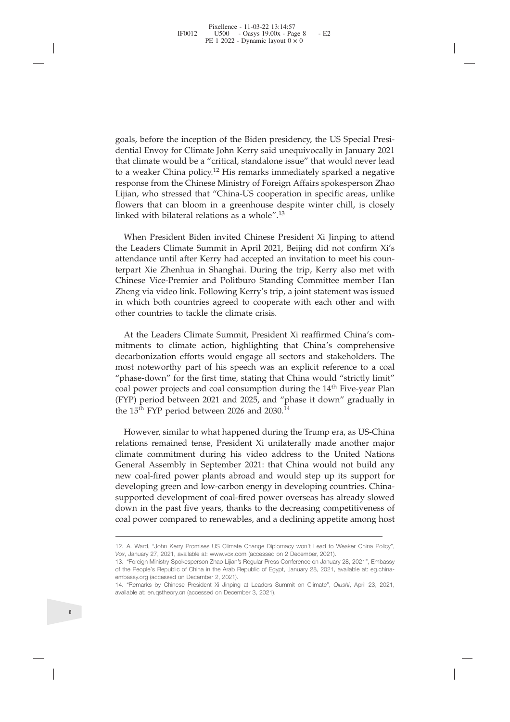goals, before the inception of the Biden presidency, the US Special Presidential Envoy for Climate John Kerry said unequivocally in January 2021<br>that climate would be a "critical, standalone issue" that would never lead<br>to goals, before the inception of the Biden presidency, the US Special Presidential Envoy for Climate John Kerry said unequivocally in January 2021<br>that climate would be a "critical, standalone issue" that would never lead<br>to goals, before the inception of the Biden presidency, the US Special Presidential Envoy for Climate John Kerry said unequivocally in January 2021 that climate would be a "critical, standalone issue" that would never lead to goals, before the inception of the Biden presidency, the US Special Presidential Envoy for Climate John Kerry said unequivocally in January 2021 that climate would be a "critical, standalone issue" that would never lead to goals, before the inception of the Biden presidency, the US Special Presidential Envoy for Climate John Kerry said unequivocally in January 2021 that climate would be a "critical, standalone issue" that would never lead to goals, before the inception of the Biden presidency, the US Special Presi-<br>dential Envoy for Climate John Kerry said unequivocally in January 2021<br>that climate would be a "critical, standalone issue" that would never lead<br> goals, before the inception of the Biden presidency, the US Special Presidential Envoy for Climate John Kerry said unequivocally in January 2021 that climate would be a "critical, standalone issue" that would never lead to goals, before the inception of the Biden presidency, the US<br>dential Envoy for Climate John Kerry said unequivocally i<br>that climate would be a "critical, standalone issue" that wo<br>to a weaker China policy.<sup>12</sup> His remarks i als, before the inception of the Biden presidency, the US Special Presi-<br>mitial Envoy for Climate John Kerry said unequivocally in January 2021<br>at climate would be a "critical, standalone issue" that would never lead<br>a wea goals, before the inception of the Biden presidency, the US Special Presidential Envoy for Climate John Kerry said unequivocally in January 2021 that climate would be a "critical, standalone issue" that would never lead to goals, before the inception of the biden presidency, the US Special Presi-<br>dential Envoy for Climate John Kerry said unequivocally in January 2021<br>that climate would be a "critical, standalone issue" that would never lead<br>

dential Envoy for Cumate Jonn Kerry said unequivocally in January 2021<br>that climate would be a "critical, standalone issue" that would never lead<br>to a weaker China policy.<sup>12</sup> His remarks immediately sparked a negative<br>res that climate would be a "critical, standalone issue" that would never lead<br>to a weaker China policy.<sup>12</sup> His remarks immediately sparked a negative<br>response from the Chinese Ministry of Foreign Affairs spokesperson Zhao<br>Li to a weaker China policy.<sup>1</sup> His remarks immediately sparked a negative response from the Chinese Ministry of Foreign Affairs spokespersion Zhao Lijian, who stressed that "China-US cooperation in specific areas, unlike flo response rrom the China-US cooperation in specific areas, unlike Lijian, who stressed that "China-US cooperation in specific areas, unlike flowers that can bloom in a greenhouse despite winter chill, is closely linked with Lijian, who stressed that "China-US cooperation in s<br>flowers that can bloom in a greenhouse despite wi<br>linked with bilateral relations as a whole".<sup>13</sup><br>When President Biden invited Chinese President<br>the Leaders Climate Sum Kea with bilateral relations as a whole"."<br>
When President Biden invited Chinese President Xi Jinping to attend<br>
e Leaders Climate Summit in April 2021, Beijing did not confirm Xi's<br>
rendance until after Kerry had accepted When President Biden invited Chinese President Xi Jinping to attend<br>the Leaders Climate Summit in April 2021, Beijing did not confirm Xi's<br>attendance until after Kerry had accepted an invitation to meet his coun-<br>terpart X When President biden invited Chinese President XI jinping to attend<br>the Leaders Climate Summit in April 2021, Beijing did not confirm Xi's<br>attendance until after Kerry had accepted an invitation to meet his coun-<br>terpart

the Leaders Cumate Summit in April 2021, Beijing did not contirm Xi's<br>attendance until after Kerry had accepted an invitation to meet his coun-<br>terpart Xie Zhenhuia in Shanghai. During the trip, Kerry also met with<br>Chines attendance until arter Kerry nad accepted an invitation to meet nis coun-<br>terpart Xie Zhenhua in Shanghai. During the trip, Kerry also met with<br>Chinese Vice-Premier and Politburo Standing Committee member Han<br>Zheng via vid terpart Xie Zhenhua in Shanghai. During the trip, Kerry also met with<br>Chinese Vice-Premier and Politburo Standing Committee member Han<br>Zheng via video link. Following Kerry's trip, a joint statement was issued<br>in which bot Chinese Vice-Premier and Politburo Standing Committee member Han Zheng via video link. Following Kerry's trip, a joint statement was issued in which both countries agreed to cooperate with each other and with other countr Zheng via video link. Following Kerry s trip, a joint stateme<br>in which both countries agreed to cooperate with each of<br>other countries to tackle the climate crisis.<br>At the Leaders Climate Summit, President Xi reaffirmed<br>m ner countries to tackie the climate crisis.<br>At the Leaders Climate Summit, President Xi reaffirmed China's com-<br>timents to climate action, highlighting that China's comprehensive<br>carbonization efforts would engage all sect At the Leaders Climate Summit, President Xi reaffirmed China's com-<br>mitments to climate action, highlighting that China's comprehensive<br>decarbonization efforts would engage all sectors and stakeholders. The<br>most noteworth At the Leaders Climate Summit, President Xi rearhimed China's commitments to climate action, highlighting that China's comprehensive decarbonization efforts would engage all sectors and stakeholders. The most noteworthy pa

muments to cumate action, nighlighting that China's comprenensive<br>decarbonization efforts would engage all sectors and stakeholders. The<br>most noteworthy part of his speech was an explicit reference to a coal<br>"phase-down" f decarbonization etrorts would engage all sectors and stakenolders. The most noteworthy part of his speech was an explicit reference to a coal "phase-down" of the first time, stating that China would "strictly limit" coal p most noteworthy part of his speech was an explicit reference to a coal<br>
"phase-down" for the first time, stating that China would "strictly limit"<br>
coal power projects and coal consumption during the 14<sup>th</sup> Five-year Plan<br> "phase-down" for the first time, stating that China Would "strictly limit"<br>coal power projects and coal consumption during the 14<sup>th</sup> Five-year Plan<br>(FYP) period between 2021 and 2025, and "phase it down" gradually in<br>the coalpower projects and coal consumption during the 14<sup>-a</sup> Five-year Plan (FYP) period between 2021 and 2025, and "phase it down" gradually in the 15<sup>th</sup> FYP period between 2026 and 2030.<sup>14</sup><br>However, similar to what happe (FYP) period between 2021 and 2025, and "phase it down" gradually in<br>the 15<sup>th</sup> FYP period between 2026 and 2030.<sup>14</sup><br>However, similar to what happened during the Trump era, as US-China<br>relations remained tense, President Commate Confinitent during his video address to the United Nations<br>
General Assembly in September 2021: that China would not build any<br>
new coal-fired power plants abroad and would step up its support for<br>
developing green General Assembly in September 2021: that China would not buy<br>new coal-fired power plants abroad and would step up its supp<br>developing green and low-carbon energy in developing countries.<br>supported development of coal-fired newcoal-fired power plants abroad and would step up its support for<br>developing green and low-carbon energy in developing countries. China-<br>supported development of coal-fired power overseas has already slowed<br>down in the of the People's **Peoplet China in the People** China in the Arab Republic of Egyptic of China in the past five years, thanks to the decreasing competitiveness of coal power compared to renewables, and a declining appetite a developinggreen and low-carbon energy<br>supported development of coal-fired pov<br>down in the past five years, thanks to th<br>coal power compared to renewables, and<br> $\frac{1}{2}$ . A. Ward, "John Kerry Promises US Climate Change D<br>V supported development of coal-fired power overseas has already slowed<br>down in the past five years, thanks to the decreasing competitiveness of<br>coal power compared to renewables, and a declining appetite among host<br> $12$ . A. black and the past five years, thanks to the decrease coal power compared to renewables, and a declining and a declining the decrease coal power compared to renewables, and a declining the Most Climate Change Diplomacy wor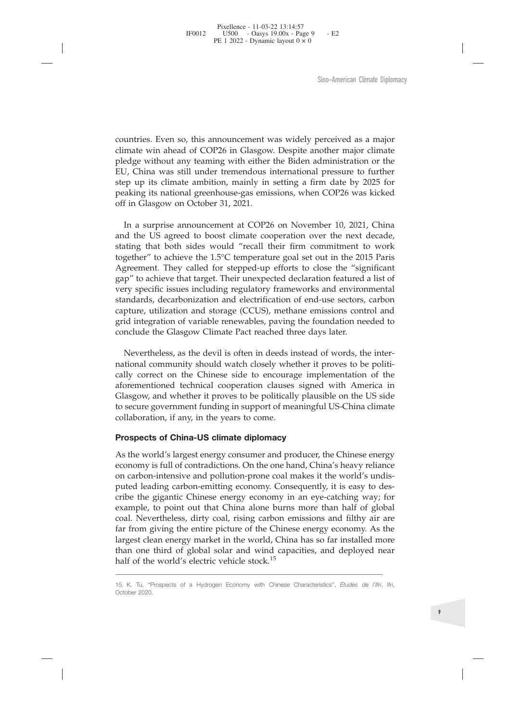Sino-American Climate Diplomacy<br>Countries. Even so, this announcement was widely perceived as a major<br>climate win ahead of COP26 in Glasgow. Despite another major climate<br>pledge without any teaming with either the Biden ad Sino-American Climate Diplomacy<br>countries. Even so, this announcement was widely perceived as a major<br>climate win ahead of COP26 in Glasgow. Despite another major climate<br>pledge without any teaming with either the Biden ad Sino-American Climate Diplomacy<br>
sino-American Climate Win ahead of COP26 in Glasgow. Despite another major climate<br>
pledge without any teaming with either the Biden administration or the<br>
EU, China was still under tremend Sino-American Climate Diplomacy<br>
Sino-American Climate Uiplomacy<br>
climate win ahead of COP26 in Glasgow. Despite another major climate<br>
pledge without any teaming with either the Biden administration or the<br>
EU, China was Sino-American Climate Diplomacy<br>
sino-American Climate Diplomacy<br>
cclumate win ahead of COP26 in Glasgow. Despite another major climate<br>
pledge without any teaming with either the Biden administration or the<br>
EU, China was Sino-American Climate Diplomacy<br>
sino-American Climate Diplomacy<br>
climate win ahead of COP26 in Glasgow. Despite another major climate<br>
pledge without any teaming with either the Biden administration or the<br>
EU, China was countries. Even so, this announcement was w<br>climate win ahead of COP26 in Glasgow. Des<br>pledge without any teaming with either the B<br>EU, China was still under tremendous internate<br>step up its climate ambition, mainly in set untries. Even so, this announcement was widely perceived as a major mate win ahead of COP26 in Glasgow. Despite another major climate dege without any teaming with either the Biden administration or the p, China was still countries. Even so, this announcement was widely perceived as a major climate win ahead of COP26 in Glasgow. Despite another major climate pledge without any teaming with either the Biden administration or the EU, China wa

countries. Even so, this announcement was widely perceived as a major climate win ahead of COP26 in Glasgow. Despite another major climate pledge without any teaming with either the Biden administration or the EU, China wa countries. Even so, this announcement was widely perceived as a major climate win ahead of COP26 in Glasgow. Despite another major climate pledge without any teaming with either the Biden administration or the EU, China wa climate win ahead of COP26 in Glasgow. Despite another major climate pledge without any teaming with either the Biden administration or the EU, China was still under tremendous international pressure to further peep up its pledge without any teaming with either the Biden administration or the EU, China was still under tremendous international pressure to further step up its climate ambition, mainly in setting a firm date by 2025 for peaking EU, China was still under tremendous international pressure to further step up its climate ambition, mainly in setting a firm date by 2025 for peaking its national greenhouse-gas emissions, when COP26 was kicked off in Gla step up its climate ambition, mainly in setting a firm date by 2025 for peaking its national greenhouse-gas emissions, when COP26 was kicked off in Glasgow on October 31, 2021.<br>
In a surprise announcement at COP26 on Novem peaking its national greenhouse-gas emissions, when COP26 was kicked<br>off in Glasgow on October 31, 2021.<br>In a surprise announcement at COP26 on November 10, 2021, China<br>and the US agreed to boost climate cooperation over t off in Glasgow on October 31, 2021.<br>
In a surprise announcement at COP26 on November 10, 2021, China<br>
and the US agreed to boost climate cooperation over the next decade,<br>
stating that both sides would "recall their firm c In a surprise announcement at COP26 on November 10, 2021, Chiand the US agreed to boost climate cooperation over the next decades tasting that both sides would "recall their firm commitment to woncogether" to achieve the 1 decreases the boost climate cooperation over the next decade, thing that both sides would "recall their firm commitment to work gether" to achieve the 1.5°C temperature goal set out in the 2015 Paris greement. They called stating that both sides would "recall their firm commitment to work together" to achieve the 1.5°C temperature goal set out in the 2015 Paris Agreement. They called for stepped-up efforts to close the "significant gap" to together" to achieve the 1.5°C temperature goal set out in the 2015 Paris Agreement. They called for stepped-up efforts to close the "significant Agap" to achieve that target. Their unexpected declaration featured a list o

Agreement. They called for stepped-up efforts to close the "significant<br>gap" to achieve that target. Their unexpected declaration featured a list of<br>very specific issues including regulatory frameworks and enviromental<br>sta gap" to achieve that target. Their unexpected declaration featured a list of very specific issues including regulatory frameworks and environmental standards, decarbonization and electrification of end-use sectors, carbon very specific issues including regulatory frameworks and environmental<br>standards, decarbonization and electrification of end-use sectors, carbon<br>capture, utilization and storage (CCUS), methane emissions control and<br>grid i standards, decarbonization and electrification of enc<br>capture, utilization and storage (CCUS), methane er<br>grid integration of variable renewables, paving the ficonclude the Glasgow Climate Pact reached three da<br>Nevertheles capture, utilization and storage (CCUS), methane emissions contrarption and storage energy also provides provides the foundation nee conclude the Glasgow Climate Pact reached three days later.<br>
Nevertheless, as the devil i Extracted the Chinger of Chinac Fact reactive dure day of means.<br>
Nevertheless, as the devil is often in deeds instead of words, the inter-<br>
national community should watch closely whether it proves to be politically<br>
corr Nevertheless, as the devil is often in deeds instead of words, the international community should watch closely whether it proves to be politically correct on the Chinese side to encourage implementation of the aforementio

The mational community should watch closely whether it proves to be politically correct on the Chinese side to encourage implementation of the aforementioned technical cooperation clauses signed with America in Glasgow, an mational commatiny and a continuous carbon-emitting carbon-emittion of the aforementioned technical cooperation clauses signed with America in Glasgow, and whether it proves to be politically plausible on the US side to se can are considered and contract of the contract consideration of the Galagow, and whether it proves to be politically plausible on the US side to secure government funding in support of meaningful US-China climate collabor Elasgow, and whether it proves to be politically plausible on the US side to secure government funding in support of meaningful US-China climate collaboration, if any, in the years to come.<br> **Prospects of China-US climate** coal. We are all the preferral in the vertex of the secure government funding in support of meaningful US-China climate collaboration, if any, in the years to come.<br> **Prospects of China-US climate diplomacy**<br>
As the world' become container and any propertion of meaning and the control or come collaboration, if any, in the years to come.<br> **Prospects of China-US climate diplomacy**<br>
As the world's largest energy consumer and producer, the Chine **Prospects of China-US climate diplomacy**<br>**As the world's largest energy consumer and producer, the Chinese energy economy is full of contradictions. On the one hand, China's heavy reliance on carbon-intensive and polluti Prospects of China-US climate diplomacy**<br>As the world's largest energy consumer and producer, the Chinese energy<br>economy is full of contradictions. On the one hand, China's heavy reliance<br>on carbon-intensive and pollutio As the world's largest energy consumer and producer, the economy is full of contradictions. On the one hand, China on carbon-intensive and pollution-prone coal makes it the puted leading carbon-emitting economy. Consequen cribe the gigantic Chinese energy economy in an eye-catching way; for example, to point out that China alone burns more than half of global coal. Nevertheless, dirty coal, rising carbon emissions and filthy air are far fro Example, to point<br>coal. Nevertheless<br>far from giving th<br>largest clean energ<br>than one third of<br>half of the world's<br><u>15. K. Tu, "Prospects of</u><br>October 2020.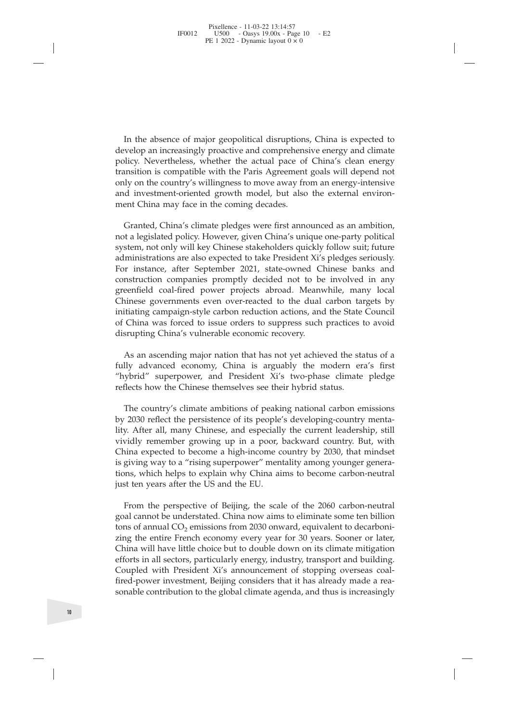In the absence of major geopolitical disruptions, China is expected to<br>velop an increasingly proactive and comprehensive energy and climate<br>licy. Nevertheless, whether the actual pace of China's clean energy<br>msition is com In the absence of major geopolitical disruptions, China is expected to develop an increasingly proactive and comprehensive energy and climate policy. Nevertheless, whether the actual pace of China's clean energy transition In the absence of major geopolitical disruptions, China is expected to develop an increasingly proactive and comprehensive energy and climate policy. Nevertheless, whether the actual pace of China's clean energy transition In the absence of major geopolitical disruptions, China is expected to develop an increasingly proactive and comprehensive energy and climate policy. Nevertheless, whether the actual pace of China's clean energy transition In the absence of major geopolitical disruptions, China is expected to develop an increasingly proactive and comprehensive energy and climate policy. Nevertheless, whether the actual pace of China's clean energy transition In the absence of major geopolitical disruptions, China is expected to<br>develop an increasingly proactive and comprehensive energy and climate<br>policy. Nevertheless, whether the actual pace of China's clean energy<br>transition In the absence of major geopolitical disruptions, China develop an increasingly proactive and comprehensive er policy. Nevertheless, whether the actual pace of China transition is compatible with the Paris Agreement goals In the absence of major geopolitical disruptions, China is expected to welop an increasingly proactive and comprehensive energy and climate blicy. Nevertheless, whether the actual pace of China's clean energy unsition is c In the absence of major geopolitical disruptions, China is expected to develop an increasingly proactive and comprehensive energy and climate policy. Nevertheless, whether the actual pace of China's clean energy transition

In the absence of major geopolitical disruptions, China is expected to develop an increasingly proactive and comprehensive energy and climate policy. Nevertheless, whether the actual pace of China's clean energy transition In the absence of major geopolitical disruptions, China is expected to develop an increasingly proactive and comprehensive energy and climate prolicy. Nevertheless, whether the actual pace of China's clean energy transitio develop an increasingly proactive and comprehensive energy and climate<br>policy. Nevertheless, whether the actual pace of China's clean energy<br>transition is compatible with the Paris Agreement goals will depend not<br>only on t policy. Nevertheless, whether the actual pace of China's clean energy<br>transition is compatible with the Paris Agreement goals will depend not<br>only on the country's willingness to move away from an energy-intensive<br>and inve transition is compatible with the Paris Agreement goals will depend not<br>only on the country's willingness to move away from an energy-intensive<br>and investment-oriented growth model, but also the external environ-<br>ment Chin only on the country's willingness to move away from an energy-intensive<br>and investment-oriented growth model, but also the external environ-<br>ment China may face in the coming decades.<br>Cranted, China's climate pledges were and investment-oriented growth model, but also the external environment China may face in the coming decades.<br>
Granted, China's climate pledges were first announced as an ambition, not a legislated policy. However, given C ment China may face in the coming decades.<br>
Granted, China's climate pledges were first announced as an ambition,<br>
not a legislated policy. However, given China's unique one-party political<br>
system, not only will key Chine Granted, China's climate pledges were first announced as<br>not a legislated policy. However, given China's unique one-p<br>system, not only will key Chinese stakeholders quickly follow<br>administrations are also expected to take It a legislated policy. However, given China's unique one-party political<br>stem, not only will key Chinese stakeholders quickly follow suit; future<br>ministrations are also expected to take President Xi's pledges seriously.<br>T system, not only will key Chinese stakeholders quickly tollow suit; tuture administrations are also expected to take President Xi's pledges seriously.<br>For instance, after September 2021, state-owned Chinese banks and<br>const administrations are also expected to take President Xi's pledges seriously.<br>For instance, after September 2021, state-owned Chinese banks and<br>construction companies promptly decided not to be involved in any<br>greenfield coa For instance, after September 2021, state-owned Chinese banks a<br>construction companies promptly decided not to be involved in a<br>greenfield coal-fired power projects abroad. Meanwhile, many lo<br>Chinese governments even over-

eenheld coal-hred power projects abroad. Meanwhile, many local<br>interas governments even over-reacted to the dual carbon targets by<br>litiating campaign-style carbon reduction actions, and the State Courcil<br>China was forced t Chinese governments even over-reacted to the dual carbon targets by<br>initiating campaign-style carbon reduction actions, and the State Council<br>of China was forced to issue orders to suppress such practices to avoid<br>disrupti Initiating campaign-style carbon reduction actions, and the State Council<br>of China was forced to issue orders to suppress such practices to avoid<br>disrupting China's vulnerable economic recovery.<br>As an ascending major natio of China was forced to issue orders to suppress such practices to avoid<br>disrupting China's vulnerable economic recovery.<br>As an ascending major nation that has not yet achieved the status of a<br>fully advanced economy, China disrupting China's vulnerable economic recovery.<br>
As an ascending major nation that has not yet achieved the status of a<br>
fully advanced economy, China is arguably the modern era's first<br>
"hybrid" superpower, and President As an ascending major nation that has not yet achieved the status of a fully advanced economy, China is arguably the modern era's first "hybrid" superpower, and President Xi's two-phase climate pledge reflects how the Chin As an ascending major nation that has not yet achieved the status of a fully advanced economy, China is arguably the modern era's first "hybrid" superpower, and President Xi's two-phase climate pledge reflects how the Chin fully advanced economy, China is arguably "hybrid" superpower, and President Xi's two reflects how the Chinese themselves see their hyl The country's climate ambitions of peaking na by 2030 reflect the persistence of its flects how the Chinese themselves see their hybrid status.<br>The country's climate ambitions of peaking national carbon emissions<br>2030 reflect the persistence of its people's developing-country menta-<br>y. After all, many Chin The country's climate ambitions of peaking national carbon emissions<br>by 2030 reflect the persistence of its people's developing-country menta-<br>lity. After all, many Chinese, and especially the current leadership, still<br>viv The country's climate ambitions of peaking national carbon emissions<br>by 2030 reflect the persistence of its people's developing-country menta-<br>lity. After all, many Chinese, and especially the current leadership, still<br>viv

by 2030 reflect the persistence of its people's developing-country menta-<br>lity. After all, many Chinese, and especially the current leadership, still<br>vividly remember growing up in a poor, backward country. But, with<br>China Ity. After all, many Chinese, and especially the current leadership, still<br>vividly remember growing up in a poor, backward country. But, with<br>China expected to become a high-income country by 2030, that mindset<br>is giving w vividly remember growing up in a poor, backward country. But, with<br>China expected to become a high-income country by 2030, that mindset<br>is giving way to a "rising superpower" mentality among younger genera-<br>tions, which h China expected to become a high-income country by 2030, that mindset<br>is giving way to a "rising superpower" mentality among younger genera-<br>tions, which helps to explain why China aims to become carbon-neutral<br>just ten yea is giving way to a "rising superpower" mentality among younger generations, which helps to explain why China aims to become carbon-neutral just ten years after the US and the EU.<br>
From the perspective of Beijing, the scale tions, which helps to explain why China aims to become carbon-neutral<br>just ten years after the US and the EU.<br>From the perspective of Beijing, the scale of the 2060 carbon-neutral<br>goal cannot be understated. China now aim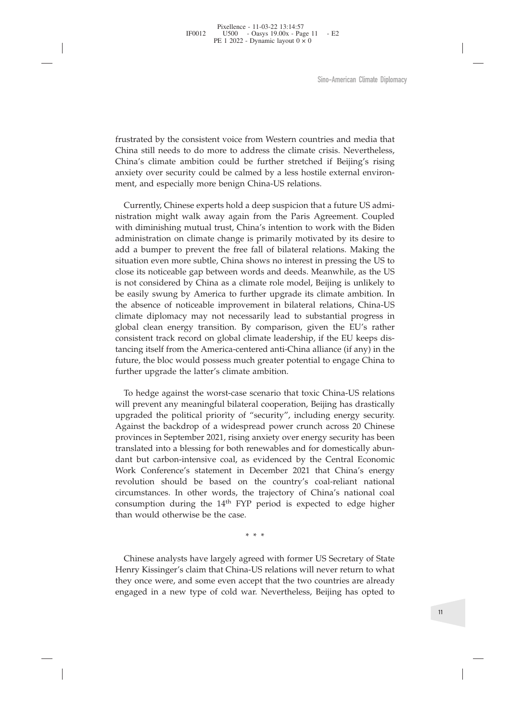Sino-American Climate Diplomacy<br>frustrated by the consistent voice from Western countries and media that<br>China still needs to do more to address the climate crisis. Nevertheless,<br>China's climate ambition could be further s Sino-American Climate Diplomacy<br>
frustrated by the consistent voice from Western countries and media that<br>
China still needs to do more to address the climate crisis. Nevertheless,<br>
China's climate ambition could be furthe Sino-American Climate Diplomacy<br>
frustrated by the consistent voice from Western countries and media that<br>
China still needs to do more to address the climate crisis. Nevertheless,<br>
China's climate ambition could be furthe Sino-American Climate Diplot<br>frustrated by the consistent voice from Western countries and media that<br>China still needs to do more to address the climate crisis. Nevertheless,<br>China's climate ambition could be further stre Sino-American C<br>
Sino-American C<br>
Sino-American C<br>
China still needs to do more to address the climate crisis. Neve<br>
China's climate ambition could be further stretched if Beijing<br>
anxiety over security could be calmed by

Instrated by the consistent voice from Western countries and media that<br>ina still needs to do more to address the climate crisis. Nevertheless,<br>ina's climate ambition could be further stretched if Beijing's rising<br>xiety ov frustrated by the consistent voice from Western countries and media that China still needs to do more to address the climate crisis. Nevertheless, China's climate ambition could be further stretched if Beijing's rising anx frustrated by the consistent voice from Western countries and media that China's climate ambition could be further stretched if Beijing's rising anxiety over security could be calmed by a less hostile external environment, frustrated by the consistent voice from Western countries and media that China still needs to do more to address the climate crisis. Nevertheless, China's climate ambition could be further stretched if Beijing's rising anx frustrated by the consistent voice from Western countries and media that China still needs to do more to address the climate crisis. Nevertheless, China's climate ambition could be further stretched if Beijing's rising anx In the contract by the consistent vocet from *western* containes and netcar the China still needs to do more to address the elimate crisis. Nevertheless, China's climate ambition could be further stretched if Beijing's ris China's climate ambition could be further stretched if Beijing's rising<br>China's climate ambition could be further stretched if Beijing's rising<br>anxiety over security could be calmed by a less hostile external environ-<br>ment Entina s climate antinuout of the rule is stealed to be related in the considered and expectative over security could be calmed by a less hostile external environment, and especially more benign China-US relations.<br>
Curren ment, and especially more benign China-US relations.<br>Currently, Chinese experts hold a deep suspicion that a future US administration might walk away again from the Paris Agreement. Coupled with diminishing mutual trust, C The absence of noticeable improvement in bilateral relations.<br>
Currently, Chinese experts hold a deep suspicion that a future US admi-<br>
nistration might walk away again from the Paris Agreement. Coupled<br>
with diminishing m Currently, Chinese experts hold a deep suspicion that a future US administration might walk away again from the Paris Agreement. Coupled with diminishing mutual trust, China's intention to work with the Biden administratio Canciary, Cancesc experiencious are active baryon tunnel in transition might walk away again from the Paris Agreement. Coupled with diminishing mutual trust, China's intention to work with the Biden administration on clima matuation might waik away again non are and suggedined. Competa with diminishing mutual trust, China's intention to work with the Bidem administration on climate change is primarily motivated by its desire to add a bumper ware annimistration on climate change is primarily motivated by its desire to add a bumper to prevent the free fall of bilateral relations. Making the situation even more subtle, China shows no interest in pressing the US and a bumper to prevent the free fall of bilateral relations. Making the situation even more subtle, China shows no interest in pressing the US to close its noticeable gap between words and deeds. Meanwhile, as the US is n ative a bumper to prevent the rice ran or bifarctar relative<br>situation even more subtle, China shows no interest in p<br>close its noticeable gap between words and deeds. Mean<br>is not considered by China as a climate role mode Se is intucted gap exervee words and cesels. Meanwhile, as the Considered by China as a climate role model, Beijing is unlikely to easily swung by America to further upgrade its climate ambition. In a absence of noticeable is not considered by China as a chinal of easily swung by America to further upgrade its climate ambition. In<br>the absence of noticeable improvement in bilateral relations, China-US<br>climate diplomacy may not necessarily lea be casny swurg by runcture to trainer depeate to studient chromonon. In the absence of noticeable improvement in bilateral relations, China-US climate diplomacy may not necessarily lead to substantial progress in global cl

Le absence of noticeable implovement in butakian translated. Cunate Consistent track record on global climate leadership, if the EU's rather consistent track record on global climate leadership, if the EU keeps distancing Entract up-profinely may not incetessamily read to susside the RU's rather consistent track record on global climate leadership, if the EU keeps distancing itself from the America-centered anti-China alliance (if any) in t renewables from the America-Centered anti-China alliance (if any) in the consistent track record on global climate leadership, if the EU keeps dis-<br>thrancing itself from the America-centered anti-China alliance (if any) in consistent track record on groom cuntanct reactarship, in the Le Keeps and charging itself from the America-centered anti-China alliance (if any) in the future, the bloc would possess much greater potential to engage Chin Finimal issues noth the American-centered anti-China dimande (ii any) in the future, the bloc would possess much greater potential to engage China to further upgrade the political prointing entermined in to further upgrad revolution shows working the latter's climate ambition.<br>To hedge against the worst-case scenario that toxic China-US relations<br>will prevent any meaningful bilateral cooperation, Beijing has drastically<br>upgraded the politic To hedge against the worst-case scenario that toxic China-US relations<br>will prevent any meaningful bilateral cooperation, Beijing has drastically<br>upgraded the political priority of "security", including energy security.<br>A To hedge against the worst-case scenario that toxic China-US relations<br>will prevent any meaningful bilateral cooperation, Beijing has drastically<br>upgraded the political priority of "security", including energy security.<br>A than would otherwise be the case of the case of the case. The case of the political priority of "security", including energy security. Against the backdrop of a widespread power crunch across 20 Chinese provinces in Septem The dank but carbon-intensive coal, as evidenced by the Central Economic dont but carbon-intensive coal, as evidenced by the Central Economic Work Conference's statement in December 2021 that China's energy revolution shou Work Conference's statement in December 2021 that China's energy<br>wevolution should be based on the country's coal-reliant national<br>circumstances. In other words, the trajectory of China's national coal<br>consumption during t work Contencies Statement in December 2021 utal China Stretz<br>revolution should be based on the country's coal-reliant national<br>circumstances. In other words, the trajectory of China's national coal<br>consumption during the 1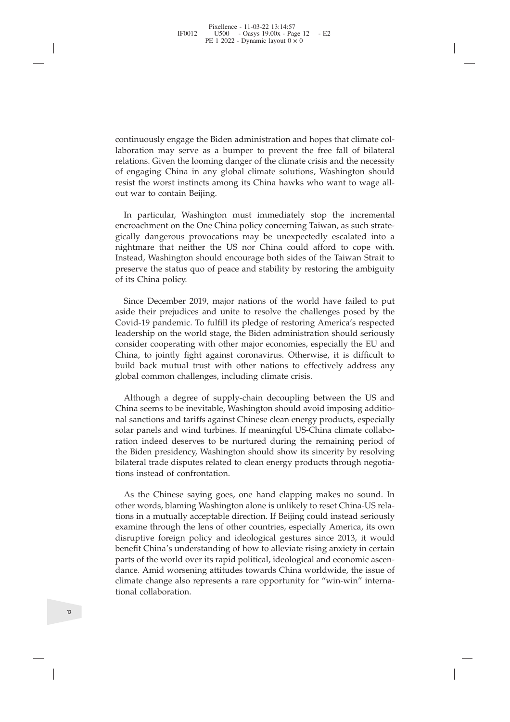continuously engage the Biden administration and hopes that climate col-<br>laboration may serve as a bumper to prevent the free fall of bilateral<br>relations. Given the looming danger of the climate crisis and the necessity<br>of continuously engage the Biden administration and hopes that climate collaboration may serve as a bumper to prevent the free fall of bilateral relations. Given the looming danger of the climate crisis and the necessity of e continuously engage the Biden administration and hopes that climate col-<br>laboration may serve as a bumper to prevent the free fall of bilateral<br>relations. Given the looming danger of the climate crisis and the necessity<br>of continuously engage the Biden administration and hopes that climate collaboration may serve as a bumper to prevent the free fall of bilateral relations. Given the looming danger of the climate crisis and the necessity of e continuously engage the Biden administration and hopes that climate collaboration may serve as a bumper to prevent the free fall of bilateral relations. Given the looming danger of the climate crisis and the necessity of e continuously engage the Biden admin<br>laboration may serve as a bumper<br>relations. Given the looming danger cof<br>engaging China in any global clinesist the worst instincts among its C<br>out war to contain Beijing.<br>In particular, ntinuously engage the Biden administration and hopes that climate col-<br>poration may serve as a bumper to prevent the free fall of bilateral<br>ations. Given the looming danger of the climate crisis and the necessity<br>engaging

continuously engage the Biden administration and hopes that climate collaboration may serve as a bumper to prevent the free fall of bilateral relations. Given the looming danger of the climate crisis and the necessity of e continuously engage the Biden administration and hopes that climate col-<br>laboration may serve as a bumper to prevent the free fall of bilateral<br>relations. Given the looming danger of the climate crisis and the necessity<br>of continuously engage the Biden administration and hopes that climate collaboration may serve as a bumper to prevent the free fall of bilateral relations. Given the looming danger of the climate crisis and the necessity of e continuously engage the Biden administration and hopes that climate col-<br>laboration may serve as a bumper to prevent the free fall of bilateral<br>relations. Given the looming danger of the climate crisis and the necessity<br>of aboration may serve as a bumper to prevent the free tall of bilateral<br>relations. Given the looming danger of the climate crisis and the necessity<br>of engaging China in any global climate solutions, Washington should<br>resist relations. Given the looming of engaging China in any gl<br>resist the worst instincts amc<br>out war to contain Beijing.<br>In particular, Washington<br>encroachment on the One Chi<br>gically dangerous provocatic<br>nightmare that neither sist the worst instincts among its China hawks who want to wage all-<br>it war to contain Beijing.<br>In particular, Washington must immediately stop the incremental<br>croachment on the One China policy concerning Taiwan, as such out war to contain Beijing.<br>
In particular, Washington must immediately stop the incremental<br>
encroachment on the One China policy concerning Taiwan, as such strate-<br>
gically dangerous provocations may be unexpectedly esca

In particular, Washington must immediately stop the incremental encroachment on the One China policy concerning Taiwan, as such strategically dangerous provocations may be unexpectedly escalated into a nightmare that neith In particular, Washington must immediately stop the incremental<br>encoachment on the One China policy concerning Taiwan, as such strate-<br>ejcially dangerous provocations may be unexpectedly escalated into a<br>nightmare that nei encroachment on the One China policy concerning Iaiwan, as such strate-<br>gically dangerous provocations may be unexpectedly escalated into a<br>nightmare that neither the US nor China could afford to cope with.<br>Instead, Washin gically dangerous provocations may be unexpectedly escalated into a hightmare that neither the US nor China could afford to cope with. Instead, Washington should encourage both sides of the Taiwan Strait to preserve the st mightmare that neither the US nor China could afford to cope with.<br>Instead, Washington should encourage both sides of the Taiwan Strait to<br>Insearce the status quo of peace and stability by restoring the ambiguity<br>of its Ch Instead, Washington should encourage both sides of the Taiw.<br>preserve the status quo of peace and stability by restoring the<br>of its China policy.<br>Since December 2019, major nations of the world have fa<br>aside their prejudic its China policy.<br>
Since December 2019, major nations of the world have failed to put<br>
ide their prejudices and unite to resolve the challenges posed by the<br>
byid-19 pandemic. To fulfill its pledge of restoring America's r Since December 2019, major nations of the world have failed to put aside their prejudices and unite to resolve the challenges posed by the Covid-19 pandemic. To fulfill its pledge of restoring America's respected leadershi Since December 2019, major nations of the world have tailed to put<br>saide their prejudices and unite to resolve the challenges posed by the<br>Covid-19 pandemic. To fulfill its pledge of restoring America's respected<br>leadershi

aside their prejudices and unite to resolve the challenges posed by the Covid-19 pandemic. To fulfill its pledge of restoring America's respected leadership on the world stage, the Biden administration should seriously con Covid-19 pandemic. To fulfill its pledge of restoring America's respected leadership on the world stage, the Biden administration should seriously consider cooperating with other major economies, especially the EU and Chin leadership on the world stage, the Biden administration should seriously<br>consider cooperating with other major economies, especially the EU and<br>China, to jointly fight against coronavirus. Otherwise, it is difficult to<br>bui consider cooperating with other major economies, especially the EU and<br>China, to jointly fight against coronavirus. Otherwise, it is difficult to<br>build back mutual trust with other nations to effectively address any<br>global China, to jointly fight against coronavi-<br>build back mutual trust with other namelobal common challenges, including climary<br>climation. Although a degree of supply-chain d<br>China seems to be inevitable, Washingtor<br>nal sancti bal common challenges, including climate crisis.<br>Although a degree of supply-chain decoupling between the US and<br>ina seems to be inevitable, Washington should avoid imposing additio-<br>I sanctions and tariffs against Chinese Although a degree of supply-chain decoupling between the US and<br>China seems to be inevitable, Washington should avoid imposing additio-<br>nal sanctions and tariffs against Chinese clean energy products, especially<br>solar pane Although a degree of supply-chain decoupling between the US and<br>China seems to be inevitable, Washington should avoid imposing additio-<br>chai sanctions and tariffs against Chinese clean energy products, especially<br>solar pan

China seems to be inevitable, Washington should avoid imposing additional sanctions and tariffs against Chinese clean energy products, especially solar panels and wind turbines. If meaningful US-China climate collaboration nal sanctions and tariths against Chinese clean energy products, especially<br>solar panels and wind turbines. If meaningful US-China climate collabo-<br>ration indeed deserves to be nurtured during the remaining period of<br>the B solar panels and wind turbines. It meaningtul US-China climate collaboration indeed deserves to be nurtured during the remaining period of the Biden presidency, Washington should show its sincerity by resolving bilateral t ration indeed deserves to be nurtured during the remaining period of<br>the Biden presidency, Washington should show its sincerity by resolving<br>bilateral trade disputes related to clean energy products through negotia-<br>tions the Biden presidency, Washington should show its sincerity by resolving<br>bilateral trade disputes related to clean energy products through negotia-<br>tions instead of confrontation.<br>As the Chinese saying goes, one hand clappi bilateral trade disputes related to clean energy products through negotiations instead of confrontation.<br>
As the Chinese saying goes, one hand clapping makes no sound. In other words, blaming Washington alone is unlikely t tions instead of confrontation.<br>As the Chinese saying goes<br>other words, blaming Washing<br>tions in a mutually acceptable<br>examine through the lens of or<br>disruptive foreign policy and<br>benefit China's understanding<br>parts of the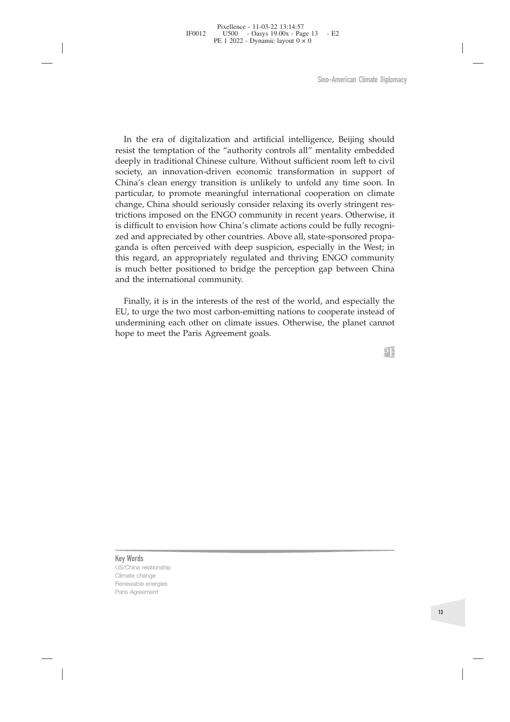Sino-American Climate Diplomacy<br>
In the era of digitalization and artificial intelligence, Beijing should<br>
sist the temptation of the "authority controls all" mentality embedded<br>
eply in traditional Chinese culture. Withou Sino-American Climate Diplomacy<br>In the era of digitalization and artificial intelligence, Beijing should<br>resist the temptation of the "authority controls all" mentality embedded<br>deeply in traditional Chinese culture. Witho Sino-American Climate Diplomacy<br>In the era of digitalization and artificial intelligence, Beijing should<br>resist the temptation of the "authority controls all" mentality embedded<br>deeply in traditional Chinese culture. Witho Sino-American Climate Diplomacy<br>In the era of digitalization and artificial intelligence, Beijing should<br>resist the temptation of the "authority controls all" mentality embedded<br>deeply in traditional Chinese culture. Witho Sino-American Climate Diplomacy<br>
In the era of digitalization and artificial intelligence, Beijing should<br>
resist the temptation of the "authority controls all" mentality embedded<br>
deeply in traditional Chinese culture. Wi Sino-American Climate Diplomacy<br>
In the era of digitalization and artificial intelligence, Beijing should<br>
resist the temptation of the "authority controls all" mentality embedded<br>
deeply in traditional Chinese culture. Wi In the era of digitalization and artificial intelligence, Beijing should<br>resist the temptation of the "authority controls all" mentality embedded<br>deeply in traditional Chinese culture. Without sufficient room left to civil In the era of digitalization and artificial intelligence, Beijing should<br>resist the temptation of the "authority controls all" mentality embedded<br>deeply in traditional Chinese culture. Without sufficient room left to civil In the era of digitalization and artificial intelligence, Beijing should<br>resist the temptation of the "authority controls all" mentality embedded<br>deeply in traditional Chinese culture. Without sufficient room left to civil In the era of digitalization and artificial intelligence, Beijing should resist the temptation of the "authority controls all" mentality embedded deeply in traditional Chinese culture. Without sufficient room left to civil In the era of digitalization and artificial intelligence, Beijing should resist the temptation of the "authority controls all" mentality embedded deeply in traditional Chinese culture. Without sufficient room left to civil In the era of digitalization and artificial intelligence, Beijing should<br>resist the temptation of the "authority controls all" mentality embedded<br>deeply in traditional Chinese culture. Without sufficient room left to civil resist the temptation of the "authority controls all" mentality embedded<br>deeply in traditional Chinese culture. Without sufficient room left to civil<br>society, an innovation-driven economic transformation in support of<br>Chin deeply in traditional Chinese culture. Witho<br>society, an innovation-driven economic tr<br>China's clean energy transition is unlikely<br>particular, to promote meaningful internati<br>change, China should seriously consider relatri inally, to promote meaningful international cooperation and interticular, to promote meaningful international cooperation on climate ange, China should seriously consider relaxing its overly stringent restions imposed on t particular, to promote meaningtul international cooperation on climate change, China should seriously consider relaxing its overly stringent restrictions in<br>posed on the ENGO community in recent years. Otherwise, it<br>is dif change, Chma should seriously consider relaxing its overly stringent restrictions imposed on the ENGO community in recent years. Otherwise, it is difficult to envision how China's climate actions could be fully recognized trictions imposed on the ENGO community in recentis difficult to envision how China's climate actions czed and appreciated by other countries. Above all, s ganda is often perceived with deep suspicion, espethis regard, an